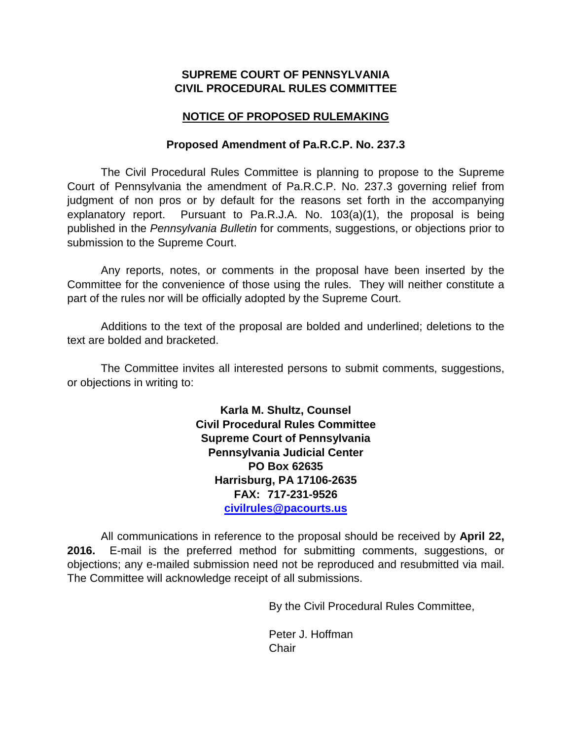# **SUPREME COURT OF PENNSYLVANIA CIVIL PROCEDURAL RULES COMMITTEE**

# **NOTICE OF PROPOSED RULEMAKING**

## **Proposed Amendment of Pa.R.C.P. No. 237.3**

The Civil Procedural Rules Committee is planning to propose to the Supreme Court of Pennsylvania the amendment of Pa.R.C.P. No. 237.3 governing relief from judgment of non pros or by default for the reasons set forth in the accompanying explanatory report. Pursuant to Pa.R.J.A. No. 103(a)(1), the proposal is being published in the *Pennsylvania Bulletin* for comments, suggestions, or objections prior to submission to the Supreme Court.

Any reports, notes, or comments in the proposal have been inserted by the Committee for the convenience of those using the rules. They will neither constitute a part of the rules nor will be officially adopted by the Supreme Court.

Additions to the text of the proposal are bolded and underlined; deletions to the text are bolded and bracketed.

The Committee invites all interested persons to submit comments, suggestions, or objections in writing to:

> **Karla M. Shultz, Counsel Civil Procedural Rules Committee Supreme Court of Pennsylvania Pennsylvania Judicial Center PO Box 62635 Harrisburg, PA 17106-2635 FAX: 717-231-9526 [civilrules@pacourts.us](mailto:civilrules@pacourts.us)**

All communications in reference to the proposal should be received by **April 22, 2016.** E-mail is the preferred method for submitting comments, suggestions, or objections; any e-mailed submission need not be reproduced and resubmitted via mail. The Committee will acknowledge receipt of all submissions.

By the Civil Procedural Rules Committee,

Peter J. Hoffman **Chair**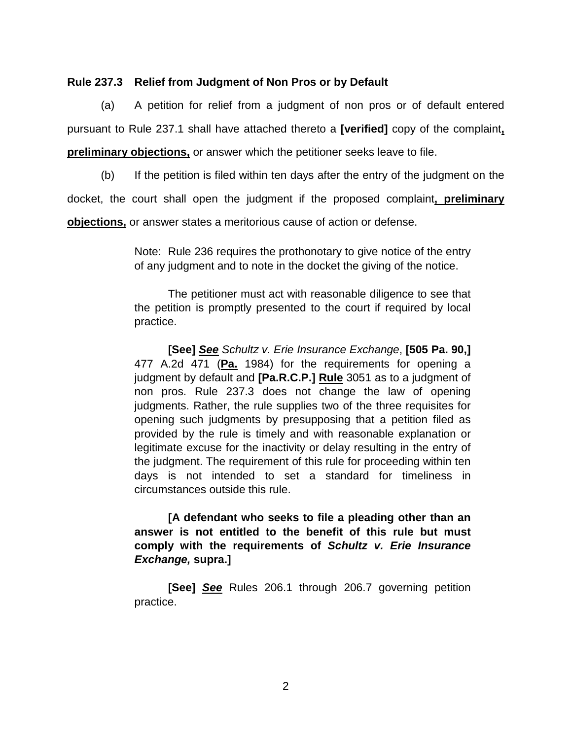### **Rule 237.3 Relief from Judgment of Non Pros or by Default**

(a) A petition for relief from a judgment of non pros or of default entered pursuant to Rule 237.1 shall have attached thereto a **[verified]** copy of the complaint**, preliminary objections,** or answer which the petitioner seeks leave to file.

(b) If the petition is filed within ten days after the entry of the judgment on the docket, the court shall open the judgment if the proposed complaint**, preliminary** 

**objections,** or answer states a meritorious cause of action or defense.

Note: Rule 236 requires the prothonotary to give notice of the entry of any judgment and to note in the docket the giving of the notice.

The petitioner must act with reasonable diligence to see that the petition is promptly presented to the court if required by local practice.

**[See]** *See Schultz v. Erie Insurance Exchange*, **[505 Pa. 90,]** 477 A.2d 471 (**Pa.** 1984) for the requirements for opening a judgment by default and **[Pa.R.C.P.] Rule** 3051 as to a judgment of non pros. Rule 237.3 does not change the law of opening judgments. Rather, the rule supplies two of the three requisites for opening such judgments by presupposing that a petition filed as provided by the rule is timely and with reasonable explanation or legitimate excuse for the inactivity or delay resulting in the entry of the judgment. The requirement of this rule for proceeding within ten days is not intended to set a standard for timeliness in circumstances outside this rule.

**[A defendant who seeks to file a pleading other than an answer is not entitled to the benefit of this rule but must comply with the requirements of** *Schultz v. Erie Insurance Exchange,* **supra.]**

**[See]** *See* Rules 206.1 through 206.7 governing petition practice.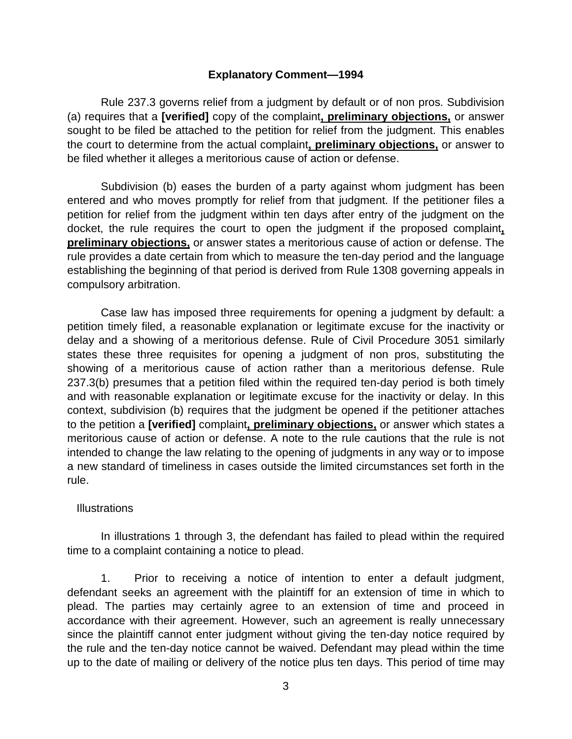### **Explanatory Comment—1994**

Rule 237.3 governs relief from a judgment by default or of non pros. Subdivision (a) requires that a **[verified]** copy of the complaint**, preliminary objections,** or answer sought to be filed be attached to the petition for relief from the judgment. This enables the court to determine from the actual complaint**, preliminary objections,** or answer to be filed whether it alleges a meritorious cause of action or defense.

Subdivision (b) eases the burden of a party against whom judgment has been entered and who moves promptly for relief from that judgment. If the petitioner files a petition for relief from the judgment within ten days after entry of the judgment on the docket, the rule requires the court to open the judgment if the proposed complaint**, preliminary objections,** or answer states a meritorious cause of action or defense. The rule provides a date certain from which to measure the ten-day period and the language establishing the beginning of that period is derived from Rule 1308 governing appeals in compulsory arbitration.

Case law has imposed three requirements for opening a judgment by default: a petition timely filed, a reasonable explanation or legitimate excuse for the inactivity or delay and a showing of a meritorious defense. Rule of Civil Procedure 3051 similarly states these three requisites for opening a judgment of non pros, substituting the showing of a meritorious cause of action rather than a meritorious defense. Rule 237.3(b) presumes that a petition filed within the required ten-day period is both timely and with reasonable explanation or legitimate excuse for the inactivity or delay. In this context, subdivision (b) requires that the judgment be opened if the petitioner attaches to the petition a **[verified]** complaint**, preliminary objections,** or answer which states a meritorious cause of action or defense. A note to the rule cautions that the rule is not intended to change the law relating to the opening of judgments in any way or to impose a new standard of timeliness in cases outside the limited circumstances set forth in the rule.

### **Illustrations**

In illustrations 1 through 3, the defendant has failed to plead within the required time to a complaint containing a notice to plead.

1. Prior to receiving a notice of intention to enter a default judgment, defendant seeks an agreement with the plaintiff for an extension of time in which to plead. The parties may certainly agree to an extension of time and proceed in accordance with their agreement. However, such an agreement is really unnecessary since the plaintiff cannot enter judgment without giving the ten-day notice required by the rule and the ten-day notice cannot be waived. Defendant may plead within the time up to the date of mailing or delivery of the notice plus ten days. This period of time may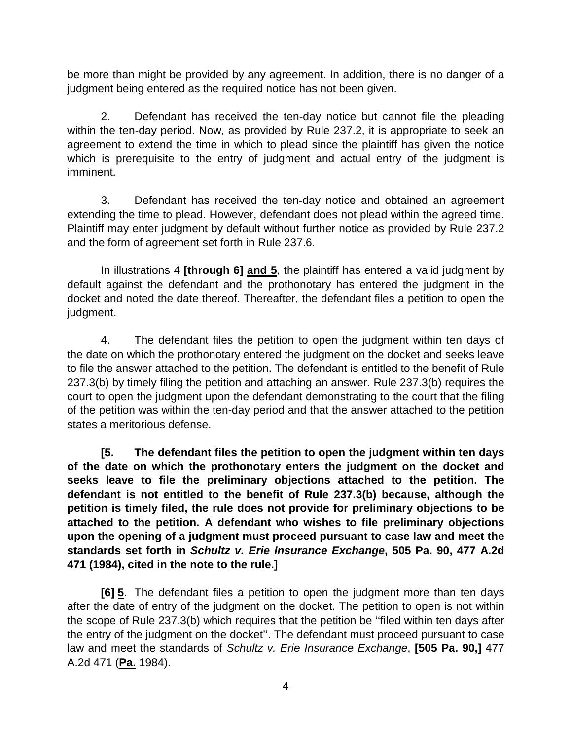be more than might be provided by any agreement. In addition, there is no danger of a judgment being entered as the required notice has not been given.

 2. Defendant has received the ten-day notice but cannot file the pleading within the ten-day period. Now, as provided by Rule 237.2, it is appropriate to seek an agreement to extend the time in which to plead since the plaintiff has given the notice which is prerequisite to the entry of judgment and actual entry of the judgment is imminent.

3. Defendant has received the ten-day notice and obtained an agreement extending the time to plead. However, defendant does not plead within the agreed time. Plaintiff may enter judgment by default without further notice as provided by Rule 237.2 and the form of agreement set forth in Rule 237.6.

In illustrations 4 **[through 6] and 5**, the plaintiff has entered a valid judgment by default against the defendant and the prothonotary has entered the judgment in the docket and noted the date thereof. Thereafter, the defendant files a petition to open the judgment.

 4. The defendant files the petition to open the judgment within ten days of the date on which the prothonotary entered the judgment on the docket and seeks leave to file the answer attached to the petition. The defendant is entitled to the benefit of Rule 237.3(b) by timely filing the petition and attaching an answer. Rule 237.3(b) requires the court to open the judgment upon the defendant demonstrating to the court that the filing of the petition was within the ten-day period and that the answer attached to the petition states a meritorious defense.

**[5. The defendant files the petition to open the judgment within ten days of the date on which the prothonotary enters the judgment on the docket and seeks leave to file the preliminary objections attached to the petition. The defendant is not entitled to the benefit of Rule 237.3(b) because, although the petition is timely filed, the rule does not provide for preliminary objections to be attached to the petition. A defendant who wishes to file preliminary objections upon the opening of a judgment must proceed pursuant to case law and meet the standards set forth in** *Schultz v. Erie Insurance Exchange***, 505 Pa. 90, 477 A.2d 471 (1984), cited in the note to the rule.]** 

**[6] 5**. The defendant files a petition to open the judgment more than ten days after the date of entry of the judgment on the docket. The petition to open is not within the scope of Rule 237.3(b) which requires that the petition be ''filed within ten days after the entry of the judgment on the docket''. The defendant must proceed pursuant to case law and meet the standards of *Schultz v. Erie Insurance Exchange*, **[505 Pa. 90,]** 477 A.2d 471 (**Pa.** 1984).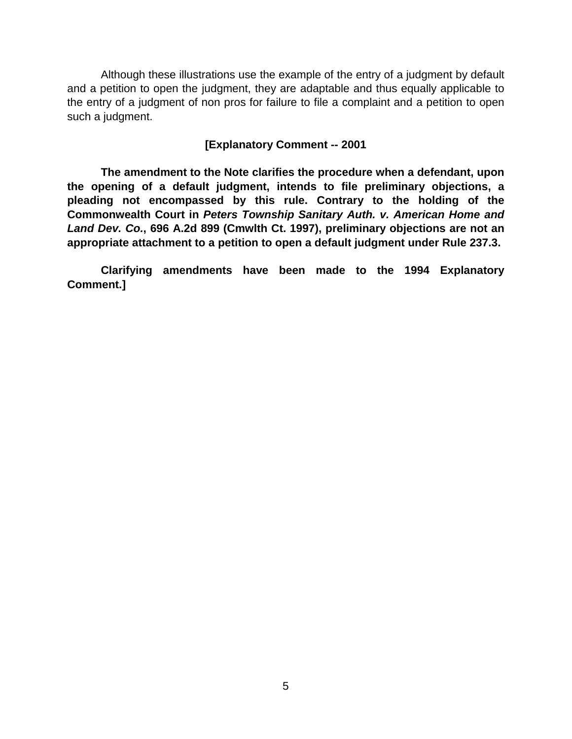Although these illustrations use the example of the entry of a judgment by default and a petition to open the judgment, they are adaptable and thus equally applicable to the entry of a judgment of non pros for failure to file a complaint and a petition to open such a judgment.

## **[Explanatory Comment -- 2001**

**The amendment to the Note clarifies the procedure when a defendant, upon the opening of a default judgment, intends to file preliminary objections, a pleading not encompassed by this rule. Contrary to the holding of the Commonwealth Court in** *Peters Township Sanitary Auth. v. American Home and Land Dev. Co.***, 696 A.2d 899 (Cmwlth Ct. 1997), preliminary objections are not an appropriate attachment to a petition to open a default judgment under Rule 237.3.** 

 **Clarifying amendments have been made to the 1994 Explanatory Comment.]**